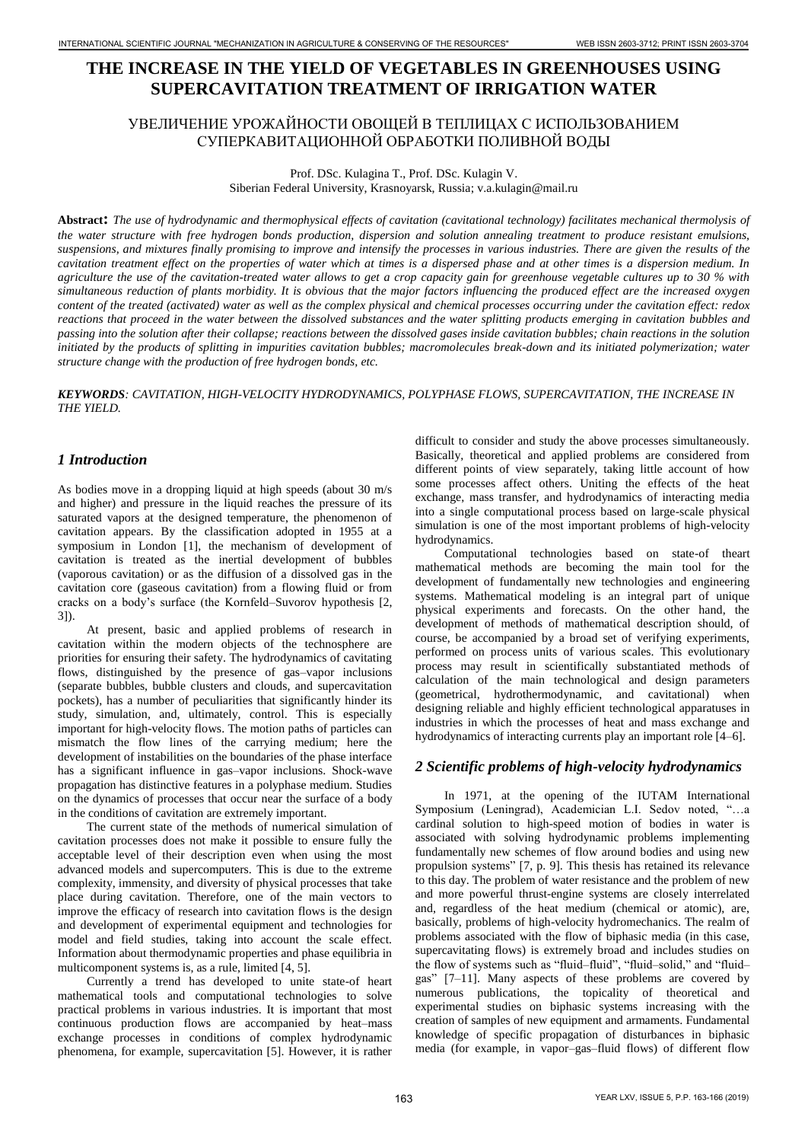# **THE INCREASE IN THE YIELD OF VEGETABLES IN GREENHOUSES USING SUPERCAVITATION TREATMENT OF IRRIGATION WATER**

# УВЕЛИЧЕНИЕ УРОЖАЙНОСТИ ОВОЩЕЙ В ТЕПЛИЦАХ С ИСПОЛЬЗОВАНИЕМ СУПЕРКАВИТАЦИОННОЙ ОБРАБОТКИ ПОЛИВНОЙ ВОДЫ

Prof. DSc. Kulagina T., Prof. DSc. Kulagin V. Siberian Federal University, Krasnoyarsk, Russia; v.a.kulagin@mail.ru

**Abstract:** *The use of hydrodynamic and thermophysical effects of cavitation (cavitational technology) facilitates mechanical thermolysis of the water structure with free hydrogen bonds production, dispersion and solution annealing treatment to produce resistant emulsions, suspensions, and mixtures finally promising to improve and intensify the processes in various industries. There are given the results of the cavitation treatment effect on the properties of water which at times is a dispersed phase and at other times is a dispersion medium. In agriculture the use of the cavitation-treated water allows to get a crop capacity gain for greenhouse vegetable cultures up to 30 % with simultaneous reduction of plants morbidity. It is obvious that the major factors influencing the produced effect are the increased oxygen content of the treated (activated) water as well as the complex physical and chemical processes occurring under the cavitation effect: redox reactions that proceed in the water between the dissolved substances and the water splitting products emerging in cavitation bubbles and passing into the solution after their collapse; reactions between the dissolved gases inside cavitation bubbles; chain reactions in the solution initiated by the products of splitting in impurities cavitation bubbles; macromolecules break-down and its initiated polymerization; water structure change with the production of free hydrogen bonds, etc.* THE ENFERT CONSERVE THE VIRTUAL THE VIRTUAL THE VIRTUAL THE VIRTUAL THE VIRTUAL THE VIRTUAL THE VIRTUAL THE VIRTUAL THE VIRTUAL THE VIRTUAL THE VIRTUAL THE VIRTUAL THE VIRTUAL THE VIRTUAL THE VIRTUAL THE VIRTUAL THE VIRTU

#### *KEYWORDS: CAVITATION, HIGH-VELOCITY HYDRODYNAMICS, POLYPHASE FLOWS, SUPERCAVITATION, THE INCREASE IN THE YIELD.*

## *1 Introduction*

As bodies move in a dropping liquid at high speeds (about 30 m/s and higher) and pressure in the liquid reaches the pressure of its saturated vapors at the designed temperature, the phenomenon of cavitation appears. By the classification adopted in 1955 at a symposium in London [1], the mechanism of development of cavitation is treated as the inertial development of bubbles (vaporous cavitation) or as the diffusion of a dissolved gas in the cavitation core (gaseous cavitation) from a flowing fluid or from cracks on a body's surface (the Kornfeld–Suvorov hypothesis [2, 3]).

At present, basic and applied problems of research in cavitation within the modern objects of the technosphere are priorities for ensuring their safety. The hydrodynamics of cavitating flows, distinguished by the presence of gas–vapor inclusions (separate bubbles, bubble clusters and clouds, and supercavitation pockets), has a number of peculiarities that significantly hinder its study, simulation, and, ultimately, control. This is especially important for high-velocity flows. The motion paths of particles can mismatch the flow lines of the carrying medium; here the development of instabilities on the boundaries of the phase interface has a significant influence in gas–vapor inclusions. Shock-wave propagation has distinctive features in a polyphase medium. Studies on the dynamics of processes that occur near the surface of a body in the conditions of cavitation are extremely important.

The current state of the methods of numerical simulation of cavitation processes does not make it possible to ensure fully the acceptable level of their description even when using the most advanced models and supercomputers. This is due to the extreme complexity, immensity, and diversity of physical processes that take place during cavitation. Therefore, one of the main vectors to improve the efficacy of research into cavitation flows is the design and development of experimental equipment and technologies for model and field studies, taking into account the scale effect. Information about thermodynamic properties and phase equilibria in multicomponent systems is, as a rule, limited [4, 5].

Currently a trend has developed to unite state-of heart mathematical tools and computational technologies to solve practical problems in various industries. It is important that most continuous production flows are accompanied by heat–mass exchange processes in conditions of complex hydrodynamic phenomena, for example, supercavitation [5]. However, it is rather difficult to consider and study the above processes simultaneously. Basically, theoretical and applied problems are considered from different points of view separately, taking little account of how some processes affect others. Uniting the effects of the heat exchange, mass transfer, and hydrodynamics of interacting media into a single computational process based on large-scale physical simulation is one of the most important problems of high-velocity hydrodynamics.

Computational technologies based on state-of theart mathematical methods are becoming the main tool for the development of fundamentally new technologies and engineering systems. Mathematical modeling is an integral part of unique physical experiments and forecasts. On the other hand, the development of methods of mathematical description should, of course, be accompanied by a broad set of verifying experiments, performed on process units of various scales. This evolutionary process may result in scientifically substantiated methods of calculation of the main technological and design parameters (geometrical, hydrothermodynamic, and cavitational) when designing reliable and highly efficient technological apparatuses in industries in which the processes of heat and mass exchange and hydrodynamics of interacting currents play an important role [4–6].

### *2 Scientific problems of high-velocity hydrodynamics*

In 1971, at the opening of the IUTAM International Symposium (Leningrad), Academician L.I. Sedov noted, "…a cardinal solution to high-speed motion of bodies in water is associated with solving hydrodynamic problems implementing fundamentally new schemes of flow around bodies and using new propulsion systems" [7, p. 9]. This thesis has retained its relevance to this day. The problem of water resistance and the problem of new and more powerful thrust-engine systems are closely interrelated and, regardless of the heat medium (chemical or atomic), are, basically, problems of high-velocity hydromechanics. The realm of problems associated with the flow of biphasic media (in this case, supercavitating flows) is extremely broad and includes studies on the flow of systems such as "fluid–fluid", "fluid–solid," and "fluid– gas" [7–11]. Many aspects of these problems are covered by numerous publications, the topicality of theoretical and experimental studies on biphasic systems increasing with the creation of samples of new equipment and armaments. Fundamental knowledge of specific propagation of disturbances in biphasic media (for example, in vapor–gas–fluid flows) of different flow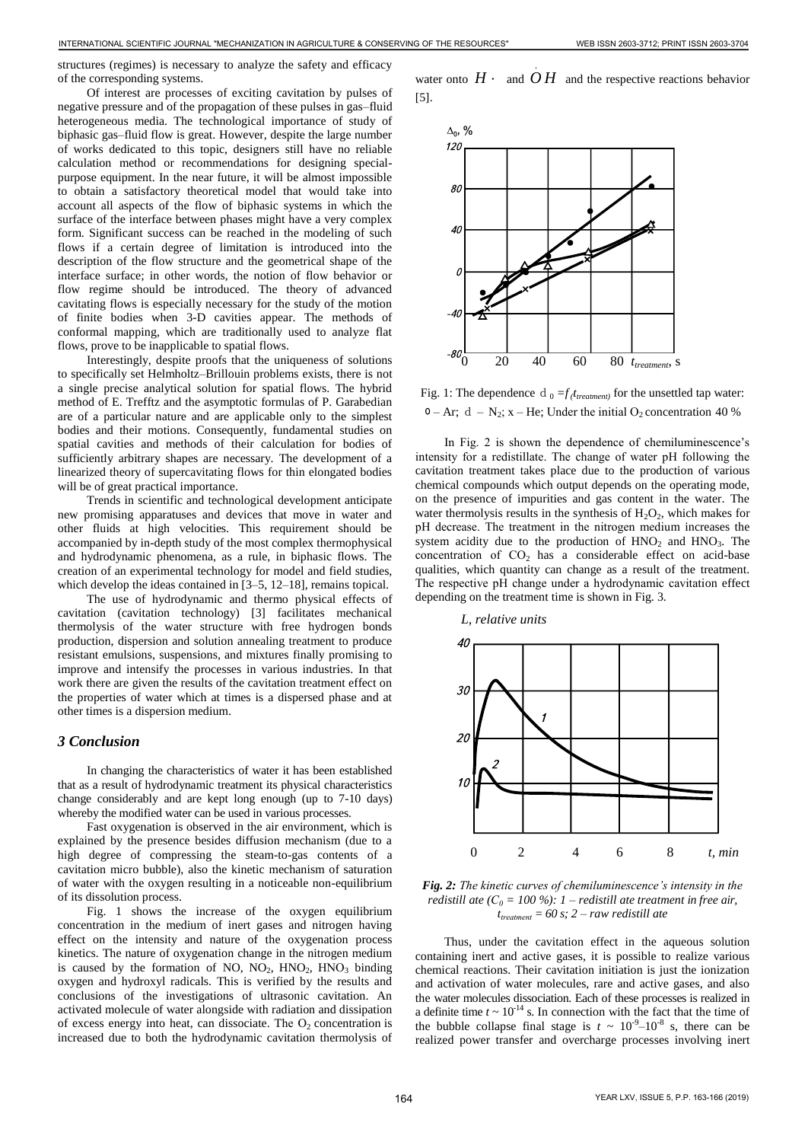structures (regimes) is necessary to analyze the safety and efficacy of the corresponding systems.

Of interest are processes of exciting cavitation by pulses of negative pressure and of the propagation of these pulses in gas–fluid heterogeneous media. The technological importance of study of biphasic gas–fluid flow is great. However, despite the large number of works dedicated to this topic, designers still have no reliable calculation method or recommendations for designing specialpurpose equipment. In the near future, it will be almost impossible to obtain a satisfactory theoretical model that would take into account all aspects of the flow of biphasic systems in which the surface of the interface between phases might have a very complex form. Significant success can be reached in the modeling of such flows if a certain degree of limitation is introduced into the description of the flow structure and the geometrical shape of the interface surface; in other words, the notion of flow behavior or flow regime should be introduced. The theory of advanced cavitating flows is especially necessary for the study of the motion of finite bodies when 3-D cavities appear. The methods of conformal mapping, which are traditionally used to analyze flat flows, prove to be inapplicable to spatial flows. 164 INTERNATIONAL SCIENCE AND A CONSERVER CONSERVER CONSERVER CONSERVER CONSERVER CONSERVER CONSERVER CONSERVER CONSERVER CONSERVER CONSERVER CONSERVER CONSERVER CONSERVER CONSERVER CONSERVER CONSERVER CONSERVER CONSERVE

Interestingly, despite proofs that the uniqueness of solutions to specifically set Helmholtz–Brillouin problems exists, there is not a single precise analytical solution for spatial flows. The hybrid method of E. Trefftz and the asymptotic formulas of P. Garabedian are of a particular nature and are applicable only to the simplest bodies and their motions. Consequently, fundamental studies on spatial cavities and methods of their calculation for bodies of sufficiently arbitrary shapes are necessary. The development of a linearized theory of supercavitating flows for thin elongated bodies will be of great practical importance.

Trends in scientific and technological development anticipate new promising apparatuses and devices that move in water and other fluids at high velocities. This requirement should be accompanied by in-depth study of the most complex thermophysical and hydrodynamic phenomena, as a rule, in biphasic flows. The creation of an experimental technology for model and field studies, which develop the ideas contained in [3–5, 12–18], remains topical.

The use of hydrodynamic and thermo physical effects of cavitation (cavitation technology) [3] facilitates mechanical thermolysis of the water structure with free hydrogen bonds production, dispersion and solution annealing treatment to produce resistant emulsions, suspensions, and mixtures finally promising to improve and intensify the processes in various industries. In that work there are given the results of the cavitation treatment effect on the properties of water which at times is a dispersed phase and at other times is a dispersion medium.

#### *3 Conclusion*

In changing the characteristics of water it has been established that as a result of hydrodynamic treatment its physical characteristics change considerably and are kept long enough (up to 7-10 days) whereby the modified water can be used in various processes.

Fast oxygenation is observed in the air environment, which is explained by the presence besides diffusion mechanism (due to a high degree of compressing the steam-to-gas contents of a cavitation micro bubble), also the kinetic mechanism of saturation of water with the oxygen resulting in a noticeable non-equilibrium of its dissolution process.

Fig. 1 shows the increase of the oxygen equilibrium concentration in the medium of inert gases and nitrogen having effect on the intensity and nature of the oxygenation process kinetics. The nature of oxygenation change in the nitrogen medium is caused by the formation of NO,  $NO_2$ ,  $HNO_2$ ,  $HNO_3$  binding oxygen and hydroxyl radicals. This is verified by the results and conclusions of the investigations of ultrasonic cavitation. An activated molecule of water alongside with radiation and dissipation of excess energy into heat, can dissociate. The  $O<sub>2</sub>$  concentration is increased due to both the hydrodynamic cavitation thermolysis of

water onto  $H \cdot$  and  $OH$  and the respective reactions behavior [5].

.



Fig. 1: The dependence d<sub>0</sub> =  $f(t_{treatment})$  for the unsettled tap water:  $0 - Ar$ ; d – N<sub>2</sub>; x – He; Under the initial O<sub>2</sub> concentration 40 %

In Fig. 2 is shown the dependence of chemiluminescence's intensity for a redistillate. The change of water рН following the cavitation treatment takes place due to the production of various chemical compounds which output depends on the operating mode, on the presence of impurities and gas content in the water. The water thermolysis results in the synthesis of  $H_2O_2$ , which makes for рН decrease. The treatment in the nitrogen medium increases the system acidity due to the production of  $HNO<sub>2</sub>$  and  $HNO<sub>3</sub>$ . The concentration of  $CO<sub>2</sub>$  has a considerable effect on acid-base qualities, which quantity can change as a result of the treatment. The respective pH change under a hydrodynamic cavitation effect depending on the treatment time is shown in Fig. 3.



*Fig. 2: The kinetic curves of chemiluminescence's intensity in the redistill ate*  $(C_0 = 100\%)$ : *1* – *redistill ate treatment in free air, ttreatment = 60 s; 2 – raw redistill ate*

Thus, under the cavitation effect in the aqueous solution containing inert and active gases, it is possible to realize various chemical reactions. Their cavitation initiation is just the ionization and activation of water molecules, rare and active gases, and also the water molecules dissociation. Each of these processes is realized in a definite time  $t \sim 10^{-14}$  s. In connection with the fact that the time of the bubble collapse final stage is  $t \sim 10^{-9} - 10^{-8}$  s, there can be realized power transfer and overcharge processes involving inert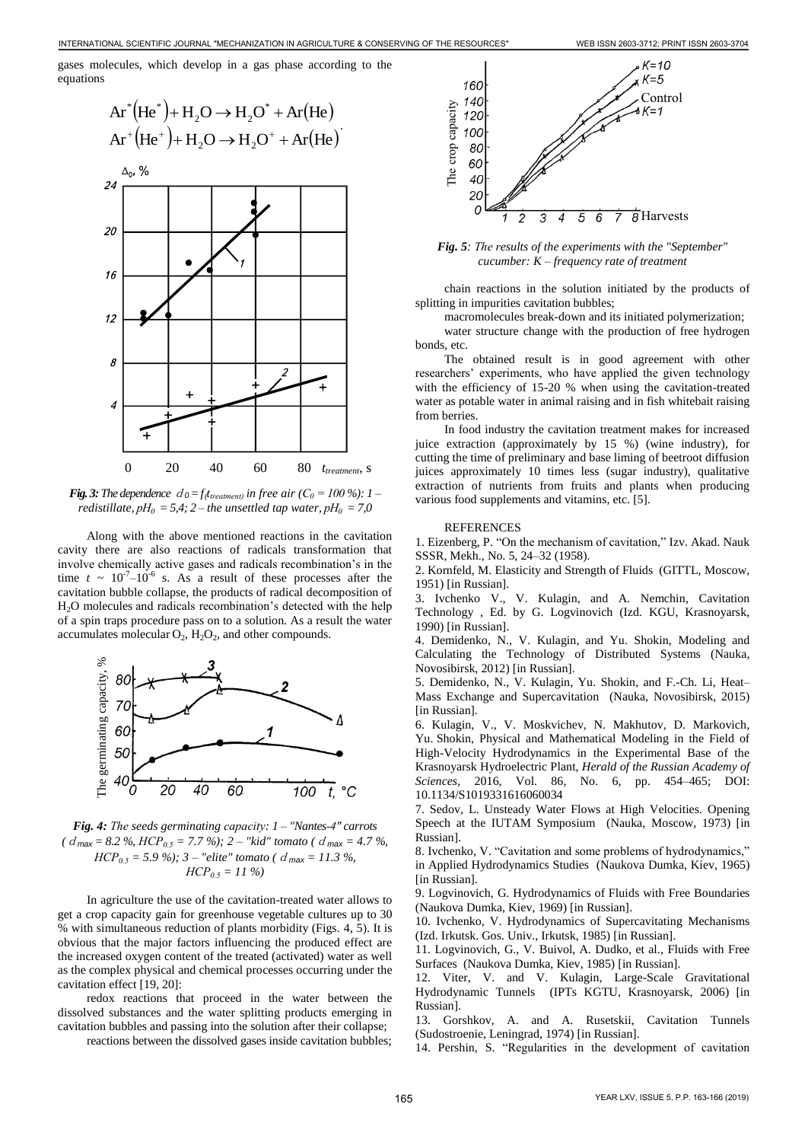gases molecules, which develop in a gas phase according to the equations



*<i>Fig. 3: The dependence*  $d_0 = f_t t_{treatment}$  in free air ( $C_0 = 100$  %): 1 – *redistillate,*  $pH_0 = 5,4$ ;  $2$  – the unsettled tap water,  $pH_0 = 7,0$ 

Along with the above mentioned reactions in the cavitation cavity there are also reactions of radicals transformation that involve chemically active gases and radicals recombination's in the time  $t \sim 10^{-7} - 10^{-6}$  s. As a result of these processes after the cavitation bubble collapse, the products of radical decomposition of H2O molecules and radicals recombination's detected with the help of a spin traps procedure pass on to a solution. As a result the water accumulates molecular  $O_2$ ,  $H_2O_2$ , and other compounds.



*Fig. 4: The seeds germinating capacity: 1 – "Nantes-4" carrots (*d*max = 8.2 %, НСР0.5 = 7.7 %); 2 – "kid" tomato (*d*max = 4.7 %,*  $HCP_{0.5} = 5.9 \%$ ; 3 – "elite" tomato ( $d_{\text{max}} = 11.3 \%$ *НСР0.5 = 11 %)* 

In agriculture the use of the cavitation-treated water allows to get a crop capacity gain for greenhouse vegetable cultures up to 30 % with simultaneous reduction of plants morbidity (Figs. 4, 5). It is obvious that the major factors influencing the produced effect are the increased oxygen content of the treated (activated) water as well as the complex physical and chemical processes occurring under the cavitation effect [19, 20]:

redox reactions that proceed in the water between the dissolved substances and the water splitting products emerging in cavitation bubbles and passing into the solution after their collapse;

reactions between the dissolved gases inside cavitation bubbles;



*Fig. 5: The results of the experiments with the "September" cucumber: K – frequency rate of treatment* 

chain reactions in the solution initiated by the products of splitting in impurities cavitation bubbles;

macromolecules break-down and its initiated polymerization;

water structure change with the production of free hydrogen bonds, etc.

The obtained result is in good agreement with other researchers' experiments, who have applied the given technology with the efficiency of 15-20 % when using the cavitation-treated water as potable water in animal raising and in fish whitebait raising from berries.

In food industry the cavitation treatment makes for increased juice extraction (approximately by 15 %) (wine industry), for cutting the time of preliminary and base liming of beetroot diffusion juices approximately 10 times less (sugar industry), qualitative extraction of nutrients from fruits and plants when producing various food supplements and vitamins, etc. [5].

#### REFERENCES

1. Eizenberg, P. "On the mechanism of cavitation," Izv. Akad. Nauk SSSR, Mekh., No. 5, 24–32 (1958).

2. Kornfeld, M. Elasticity and Strength of Fluids (GITTL, Moscow, 1951) [in Russian].

3. Ivchenko V., V. Kulagin, and A. Nemchin, Cavitation Technology , Ed. by G. Logvinovich (Izd. KGU, Krasnoyarsk, 1990) [in Russian].

4. Demidenko, N., V. Kulagin, and Yu. Shokin, Modeling and Calculating the Technology of Distributed Systems (Nauka, Novosibirsk, 2012) [in Russian].

5. Demidenko, N., V. Kulagin, Yu. Shokin, and F.-Ch. Li, Heat– Mass Exchange and Supercavitation (Nauka, Novosibirsk, 2015) [in Russian].

6. Kulagin, V., V. Moskvichev, N. Makhutov, D. Markovich, Yu. Shokin, Physical and Mathematical Modeling in the Field of High-Velocity Hydrodynamics in the Experimental Base of the Krasnoyarsk Hydroelectric Plant, *Herald of the Russian Academy of Sciences,* 2016, Vol. 86, No. 6, pp. 454–465; DOI: 10.1134/S1019331616060034

7. Sedov, L. Unsteady Water Flows at High Velocities. Opening Speech at the IUTAM Symposium (Nauka, Moscow, 1973) [in Russian].

8. Ivchenko, V. "Cavitation and some problems of hydrodynamics," in Applied Hydrodynamics Studies (Naukova Dumka, Kiev, 1965) [in Russian].

9. Logvinovich, G. Hydrodynamics of Fluids with Free Boundaries (Naukova Dumka, Kiev, 1969) [in Russian].

10. Ivchenko, V. Hydrodynamics of Supercavitating Mechanisms (Izd. Irkutsk. Gos. Univ., Irkutsk, 1985) [in Russian].

11. Logvinovich, G., V. Buivol, A. Dudko, et al., Fluids with Free Surfaces (Naukova Dumka, Kiev, 1985) [in Russian].

12. Viter, V. and V. Kulagin, Large-Scale Gravitational Hydrodynamic Tunnels (IPTs KGTU, Krasnoyarsk, 2006) [in Russian].

13. Gorshkov, A. and A. Rusetskii, Cavitation Tunnels (Sudostroenie, Leningrad, 1974) [in Russian].

14. Pershin, S. "Regularities in the development of cavitation